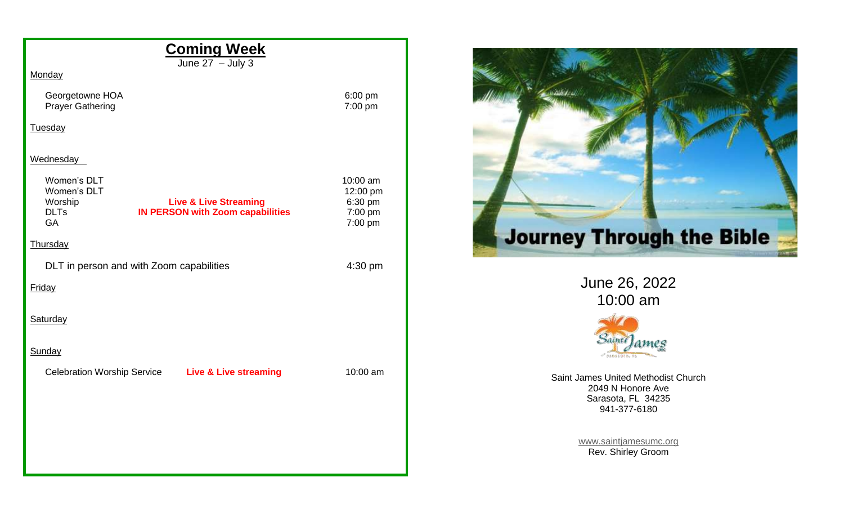| <b>Coming Week</b>                                                                                                                               |                                                       |
|--------------------------------------------------------------------------------------------------------------------------------------------------|-------------------------------------------------------|
| June $27 -$ July 3<br>Monday                                                                                                                     |                                                       |
| Georgetowne HOA<br><b>Prayer Gathering</b>                                                                                                       | 6:00 pm<br>7:00 pm                                    |
| Tuesday                                                                                                                                          |                                                       |
| Wednesday                                                                                                                                        |                                                       |
| Women's DLT<br>Women's DLT<br>Worship<br><b>Live &amp; Live Streaming</b><br><b>DLTs</b><br><b>IN PERSON with Zoom capabilities</b><br><b>GA</b> | 10:00 am<br>12:00 pm<br>6:30 pm<br>7:00 pm<br>7:00 pm |
| Thursday                                                                                                                                         |                                                       |
| DLT in person and with Zoom capabilities                                                                                                         | 4:30 pm                                               |
| Friday                                                                                                                                           |                                                       |
| Saturday                                                                                                                                         |                                                       |
| Sunday                                                                                                                                           |                                                       |
| Celebration Worship Service Live & Live streaming                                                                                                | 10:00 am                                              |
|                                                                                                                                                  |                                                       |
|                                                                                                                                                  |                                                       |
|                                                                                                                                                  |                                                       |
|                                                                                                                                                  |                                                       |



June 26, 2022 10:00 am



Saint James United Methodist Church 2049 N Honore Ave Sarasota, FL 34235 941-377-6180

> [www.saintjamesumc.org](http://www.saintjamesumc.org/) Rev. Shirley Groom